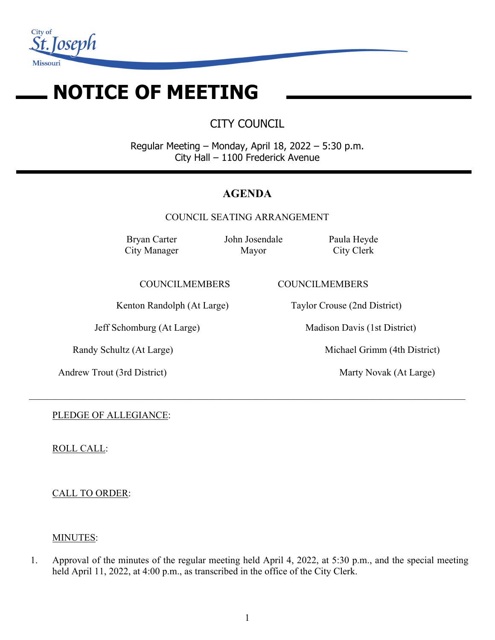

# **NOTICE OF MEETING**

CITY COUNCIL

Regular Meeting – Monday, April 18, 2022 – 5:30 p.m. City Hall – 1100 Frederick Avenue

# **AGENDA**

COUNCIL SEATING ARRANGEMENT

 $\_$  , and the set of the set of the set of the set of the set of the set of the set of the set of the set of the set of the set of the set of the set of the set of the set of the set of the set of the set of the set of th

Bryan Carter City Manager John Josendale Mayor

Paula Heyde City Clerk

COUNCILMEMBERS COUNCILMEMBERS

Kenton Randolph (At Large) Taylor Crouse (2nd District)

Andrew Trout (3rd District) Marty Novak (At Large)

Jeff Schomburg (At Large) Madison Davis (1st District)

Randy Schultz (At Large) Michael Grimm (4th District)

PLEDGE OF ALLEGIANCE:

ROLL CALL:

CALL TO ORDER:

#### MINUTES:

1. Approval of the minutes of the regular meeting held April 4, 2022, at 5:30 p.m., and the special meeting held April 11, 2022, at 4:00 p.m., as transcribed in the office of the City Clerk.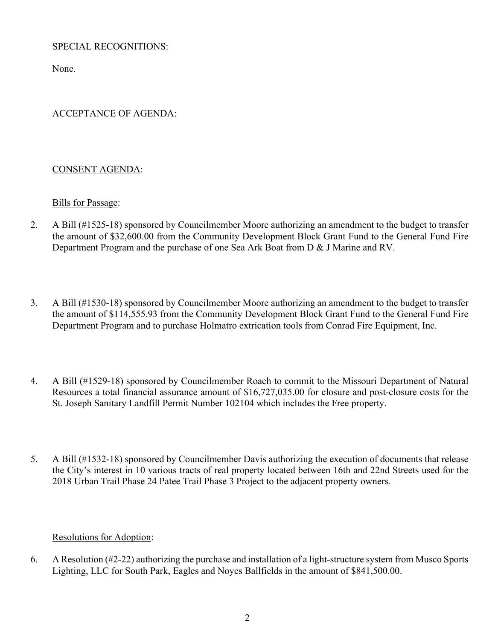# SPECIAL RECOGNITIONS:

None.

# ACCEPTANCE OF AGENDA:

#### CONSENT AGENDA:

#### Bills for Passage:

- 2. A Bill (#1525-18) sponsored by Councilmember Moore authorizing an amendment to the budget to transfer the amount of \$32,600.00 from the Community Development Block Grant Fund to the General Fund Fire Department Program and the purchase of one Sea Ark Boat from D & J Marine and RV.
- 3. A Bill (#1530-18) sponsored by Councilmember Moore authorizing an amendment to the budget to transfer the amount of \$114,555.93 from the Community Development Block Grant Fund to the General Fund Fire Department Program and to purchase Holmatro extrication tools from Conrad Fire Equipment, Inc.
- 4. A Bill (#1529-18) sponsored by Councilmember Roach to commit to the Missouri Department of Natural Resources a total financial assurance amount of \$16,727,035.00 for closure and post-closure costs for the St. Joseph Sanitary Landfill Permit Number 102104 which includes the Free property.
- 5. A Bill (#1532-18) sponsored by Councilmember Davis authorizing the execution of documents that release the City's interest in 10 various tracts of real property located between 16th and 22nd Streets used for the 2018 Urban Trail Phase 24 Patee Trail Phase 3 Project to the adjacent property owners.

#### Resolutions for Adoption:

6. A Resolution (#2-22) authorizing the purchase and installation of a light-structure system from Musco Sports Lighting, LLC for South Park, Eagles and Noyes Ballfields in the amount of \$841,500.00.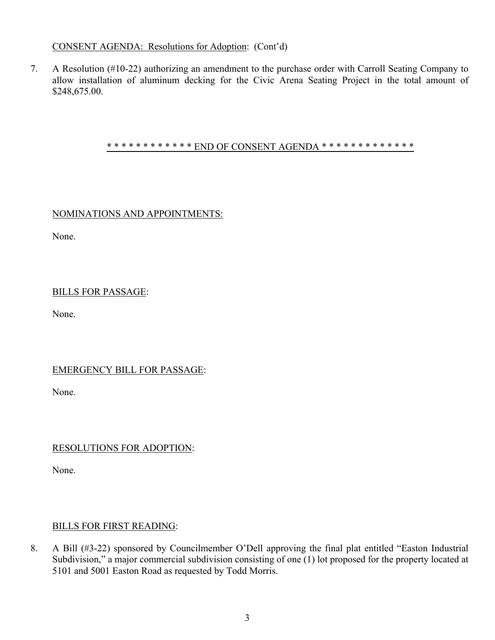# CONSENT AGENDA: Resolutions for Adoption: (Cont'd)

7. A Resolution (#10-22) authorizing an amendment to the purchase order with Carroll Seating Company to allow installation of aluminum decking for the Civic Arena Seating Project in the total amount of \$248,675.00.

#### \* \* \* \* \* \* \* \* \* \* \* \* END OF CONSENT AGENDA \* \* \* \* \* \* \* \* \* \* \* \* \* \* \*

# NOMINATIONS AND APPOINTMENTS:

None.

# BILLS FOR PASSAGE:

None.

#### EMERGENCY BILL FOR PASSAGE:

None.

#### RESOLUTIONS FOR ADOPTION:

None.

#### BILLS FOR FIRST READING:

8. A Bill (#3-22) sponsored by Councilmember O'Dell approving the final plat entitled "Easton Industrial Subdivision," a major commercial subdivision consisting of one (1) lot proposed for the property located at 5101 and 5001 Easton Road as requested by Todd Morris.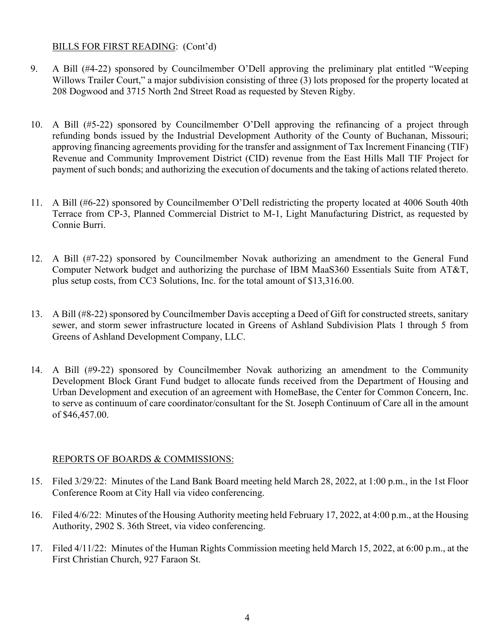#### BILLS FOR FIRST READING: (Cont'd)

- 9. A Bill (#4-22) sponsored by Councilmember O'Dell approving the preliminary plat entitled "Weeping Willows Trailer Court," a major subdivision consisting of three (3) lots proposed for the property located at 208 Dogwood and 3715 North 2nd Street Road as requested by Steven Rigby.
- 10. A Bill (#5-22) sponsored by Councilmember O'Dell approving the refinancing of a project through refunding bonds issued by the Industrial Development Authority of the County of Buchanan, Missouri; approving financing agreements providing for the transfer and assignment of Tax Increment Financing (TIF) Revenue and Community Improvement District (CID) revenue from the East Hills Mall TIF Project for payment of such bonds; and authorizing the execution of documents and the taking of actions related thereto.
- 11. A Bill (#6-22) sponsored by Councilmember O'Dell redistricting the property located at 4006 South 40th Terrace from CP-3, Planned Commercial District to M-1, Light Manufacturing District, as requested by Connie Burri.
- 12. A Bill (#7-22) sponsored by Councilmember Novak authorizing an amendment to the General Fund Computer Network budget and authorizing the purchase of IBM MaaS360 Essentials Suite from AT&T, plus setup costs, from CC3 Solutions, Inc. for the total amount of \$13,316.00.
- 13. A Bill (#8-22) sponsored by Councilmember Davis accepting a Deed of Gift for constructed streets, sanitary sewer, and storm sewer infrastructure located in Greens of Ashland Subdivision Plats 1 through 5 from Greens of Ashland Development Company, LLC.
- 14. A Bill (#9-22) sponsored by Councilmember Novak authorizing an amendment to the Community Development Block Grant Fund budget to allocate funds received from the Department of Housing and Urban Development and execution of an agreement with HomeBase, the Center for Common Concern, Inc. to serve as continuum of care coordinator/consultant for the St. Joseph Continuum of Care all in the amount of \$46,457.00.

#### REPORTS OF BOARDS & COMMISSIONS:

- 15. Filed 3/29/22: Minutes of the Land Bank Board meeting held March 28, 2022, at 1:00 p.m., in the 1st Floor Conference Room at City Hall via video conferencing.
- 16. Filed 4/6/22: Minutes of the Housing Authority meeting held February 17, 2022, at 4:00 p.m., at the Housing Authority, 2902 S. 36th Street, via video conferencing.
- 17. Filed 4/11/22: Minutes of the Human Rights Commission meeting held March 15, 2022, at 6:00 p.m., at the First Christian Church, 927 Faraon St.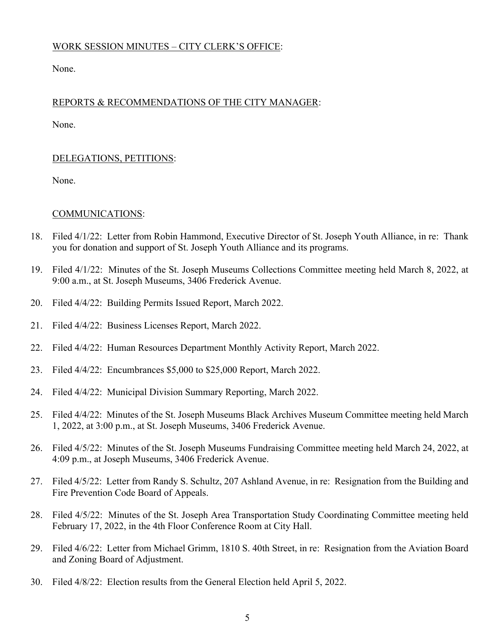# WORK SESSION MINUTES – CITY CLERK'S OFFICE:

None.

# REPORTS & RECOMMENDATIONS OF THE CITY MANAGER:

None.

#### DELEGATIONS, PETITIONS:

None.

#### COMMUNICATIONS:

- 18. Filed 4/1/22: Letter from Robin Hammond, Executive Director of St. Joseph Youth Alliance, in re: Thank you for donation and support of St. Joseph Youth Alliance and its programs.
- 19. Filed 4/1/22: Minutes of the St. Joseph Museums Collections Committee meeting held March 8, 2022, at 9:00 a.m., at St. Joseph Museums, 3406 Frederick Avenue.
- 20. Filed 4/4/22: Building Permits Issued Report, March 2022.
- 21. Filed 4/4/22: Business Licenses Report, March 2022.
- 22. Filed 4/4/22: Human Resources Department Monthly Activity Report, March 2022.
- 23. Filed 4/4/22: Encumbrances \$5,000 to \$25,000 Report, March 2022.
- 24. Filed 4/4/22: Municipal Division Summary Reporting, March 2022.
- 25. Filed 4/4/22: Minutes of the St. Joseph Museums Black Archives Museum Committee meeting held March 1, 2022, at 3:00 p.m., at St. Joseph Museums, 3406 Frederick Avenue.
- 26. Filed 4/5/22: Minutes of the St. Joseph Museums Fundraising Committee meeting held March 24, 2022, at 4:09 p.m., at Joseph Museums, 3406 Frederick Avenue.
- 27. Filed 4/5/22: Letter from Randy S. Schultz, 207 Ashland Avenue, in re: Resignation from the Building and Fire Prevention Code Board of Appeals.
- 28. Filed 4/5/22: Minutes of the St. Joseph Area Transportation Study Coordinating Committee meeting held February 17, 2022, in the 4th Floor Conference Room at City Hall.
- 29. Filed 4/6/22: Letter from Michael Grimm, 1810 S. 40th Street, in re: Resignation from the Aviation Board and Zoning Board of Adjustment.
- 30. Filed 4/8/22: Election results from the General Election held April 5, 2022.